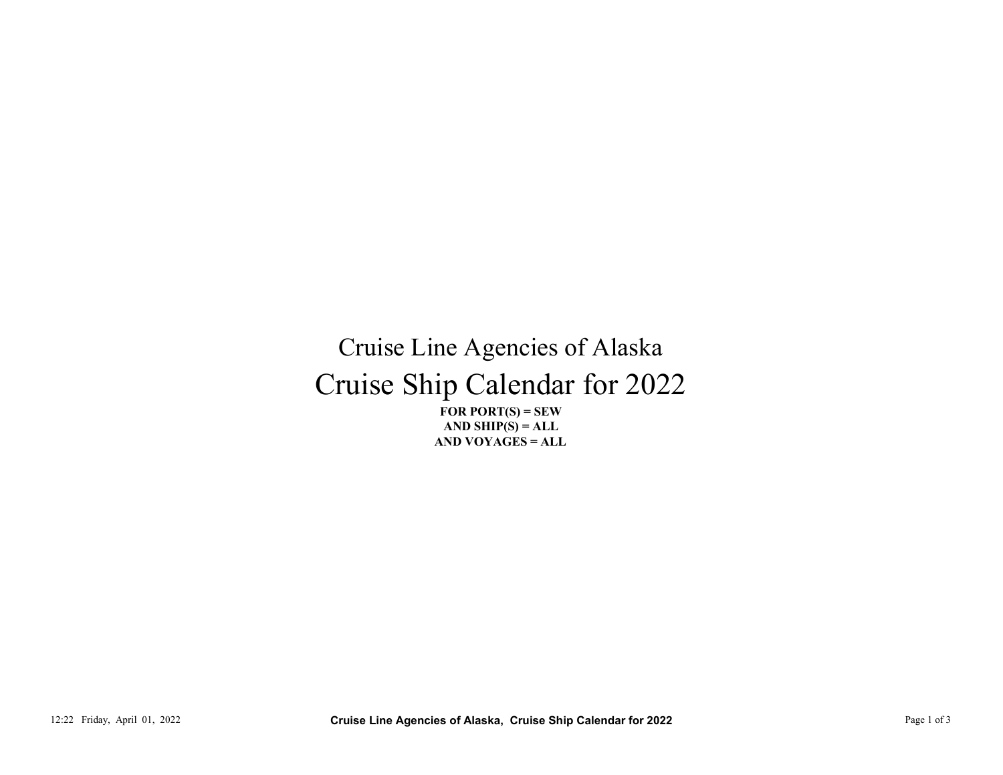## Cruise Ship Calendar for 2022 Cruise Line Agencies of Alaska 12:22 Friday, April 01, 2022<br>
12:22 Friday, April 01, 2022<br>
12:22 Friday, April 01, 2022<br>
12:22 Page 1 of 3 Cruise Line Agencies of Alaska, Cruise Ship Calendar for 2022<br>
12:22 Friday, April 01, 2022<br>
12:22 Friday, April

FOR PORT $(S)$  = SEW AND VOYAGES = ALL AND SHIP $(S) = ALL$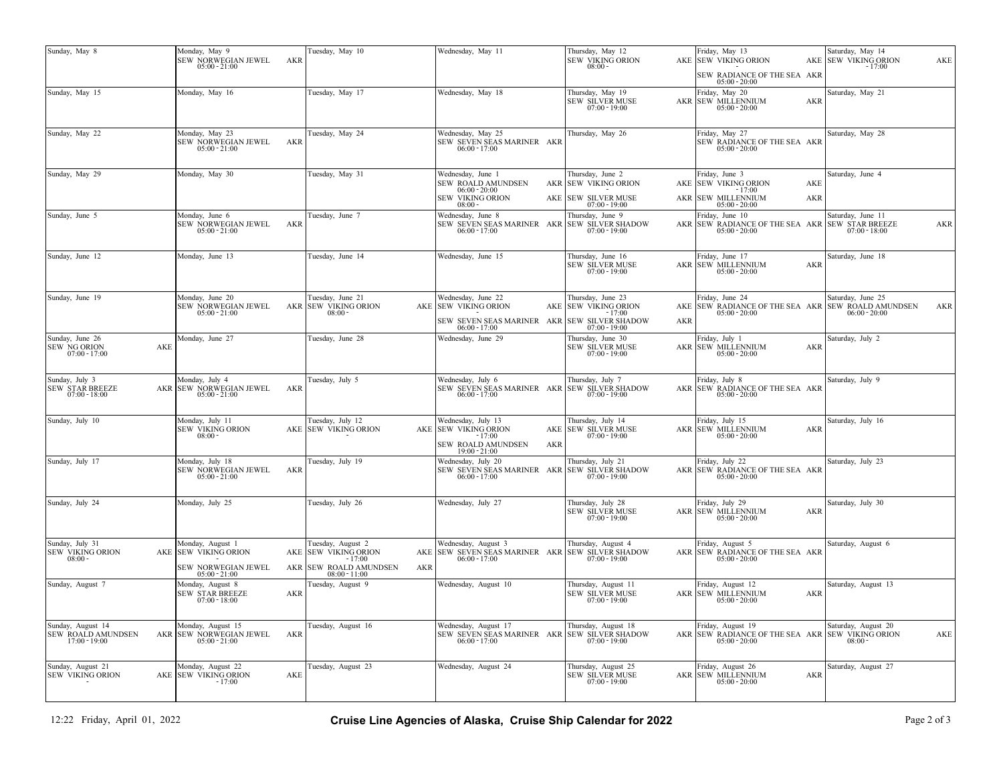| Monday, May 9<br>Tuesday, May 10<br>Wednesday, May 11<br>Thursday, May 12<br>Friday, May 13<br>Saturday, May 14<br><b>SEW VIKING ORION</b><br>SEW NORWEGIAN JEWEL<br>AKE SEW VIKING ORION<br>AKE SEW VIKING ORION<br>AKR<br>AKE<br>$08:00 -$<br>$05:00 - 21:00$<br>- 17:00<br>SEW RADIANCE OF THE SEA AKR<br>$05:00 - 20:00$<br>Thursday, May 19<br>Monday, May 16<br>Tuesday, May 17<br>Wednesday, May 18<br>Friday, May 20<br>Saturday, May 21<br><b>SEW SILVER MUSE</b><br><b>AKR SEW MILLENNIUM</b><br><b>AKR</b><br>$07:00 - 19:00$<br>$05:00 - 20:00$<br>Friday, May 27<br>Monday, May 23<br>Tuesday, May 24<br>Wednesday, May 25<br>Thursday, May 26<br>Saturday, May 28<br>SEW NORWEGIAN JEWEL<br>SEW RADIANCE OF THE SEA AKR<br>AKR<br>SEW SEVEN SEAS MARINER AKR<br>$06:00 - 17:00$<br>$05:00 - 20:00$<br>$05:00 - 21:00$<br>Monday, May 30<br>Tuesday, May 31<br>Wednesday, June 1<br>Thursday, June 2<br>Friday, June 3<br>Saturday, June 4<br>SEW ROALD AMUNDSEN<br>AKR SEW VIKING ORION<br><b>SEW VIKING ORION</b><br>AKE<br>AKE<br>$06:00 - 20:00$<br>$-17:00$<br><b>SEW VIKING ORION</b><br>AKE SEW SILVER MUSE<br><b>SEW MILLENNIUM</b><br>AKR<br><b>AKR</b><br>$08:00 -$<br>$07:00 - 19:00$<br>$05:00 - 20:00$<br>Monday, June 6<br>Tuesday, June 7<br>Wednesday, June 8<br>Thursday, June 9<br>riday, June 10<br>Saturday, June 11<br>SEW NORWEGIAN JEWEL<br>SEW SEVEN SEAS MARINER AKR SEW SILVER SHADOW<br>AKR SEW RADIANCE OF THE SEA AKR SEW STAR BREEZE<br>AKR<br>AKR<br>$05:00 - 21:00$<br>$06:00 - 17:00$<br>$07:00 - 19:00$<br>$05:00 - 20:00$<br>$07:00 - 18:00$<br>Monday, June 13<br>Tuesday, June 14<br>Wednesday, June 15<br>Thursday, June 16<br>Friday, June 17<br>Saturday, June 18<br><b>SEW SILVER MUSE</b><br>AKR SEW MILLENNIUM<br>AKR<br>$07:00 - 19:00$<br>$05:00 - 20:00$<br>Monday, June 20<br>riday, June 24<br>Tuesday, June 21<br>Wednesday, June 22<br>Thursday, June 23<br>Saturday, June 25<br>AKR SEW VIKING ORION<br>AKE SEW RADIANCE OF THE SEA AKR SEW ROALD AMUNDSEN<br>SEW NORWEGIAN JEWEL<br>AKE SEW VIKING ORION<br>AKE SEW VIKING ORION<br>AKR<br>$05:00 - 21:00$<br>$05:00 - 20:00$<br>$06:00 - 20:00$<br>$08:00 -$<br>$-17:00$<br>SEW SEVEN SEAS MARINER AKR SEW SILVER SHADOW<br><b>AKR</b><br>$06:00 - 17:00$<br>$07:00 - 19:00$<br>Monday, June 27<br>Tuesday, June 28<br>Wednesday, June 29<br>Thursday, June 30<br>Friday, July 1<br>Saturday, July 2<br><b>SEW SILVER MUSE</b><br>AKR SEW MILLENNIUM<br>AKE<br><b>AKR</b><br>$07:00 - 17:00$<br>$07:00 - 19:00$<br>$05:00 - 20:00$<br>Monday, July 4<br>Tuesday, July 5<br>Wednesday, July 6<br>Thursday, July 7<br><sup>2</sup> riday, July 8<br>Saturday, July 9<br>SEW SEVEN SEAS MARINER AKR SEW SILVER SHADOW<br>AKR SEW NORWEGIAN JEWEL AKR<br>SEW RADIANCE OF THE SEA AKR<br>AKR<br>$07:00 - 18:00$<br>$05:00 - 21:00$<br>$06:00 - 17:00$<br>$07:00 - 19:00$<br>$05:00 - 20:00$<br>Monday, July 11<br>Tuesday, July 12<br>Wednesday, July 13<br>Friday, July 15<br>Saturday, July 16<br>Thursday, July 14<br><b>SEW VIKING ORION</b><br>AKE SEW VIKING ORION<br>AKE SEW SILVER MUSE<br><b>AKR SEW MILLENNIUM</b><br>AKE SEW VIKING ORION<br><b>AKR</b><br>$08:00 -$<br>$-17:00$<br>$07:00 - 19:00$<br>$05:00 - 20:00$<br>SEW ROALD AMUNDSEN<br>AKR<br>$19:00 - 21:00$<br>Monday, July 18<br>Wednesday, July 20<br>Thursday, July 21<br>Friday, July 22<br>Saturday, July 23<br>Tuesday, July 19<br>SEW NORWEGIAN JEWEL AKR<br>SEW SEVEN SEAS MARINER AKR SEW SILVER SHADOW<br>AKR SEW RADIANCE OF THE SEA AKR<br>$05:00 - 21:00$<br>$06:00 - 17:00$<br>$07:00 - 19:00$<br>$05:00 - 20:00$<br>Wednesday, July 27<br>Thursday, July 28<br>riday, July 29<br>Saturday, July 30<br>Monday, July 25<br>Tuesday, July 26<br><b>SEW SILVER MUSE</b><br>AKR SEW MILLENNIUM<br>AKR<br>$07:00 - 19:00$<br>$05:00 - 20:00$<br>Wednesday, August 3<br>Thursday, August 4<br>Friday, August 5<br>Monday, August 1<br>Tuesday, August 2<br>Saturday, August 6<br>AKE SEW VIKING ORION<br>AKE SEW VIKING ORION<br>AKE SEW SEVEN SEAS MARINER AKR SEW SILVER SHADOW<br>AKR SEW RADIANCE OF THE SEA AKR<br>$08:00 -$<br>$-17:00$<br>$06:00 - 17:00$<br>$07:00 - 19:00$<br>$05:00 - 20:00$<br>AKR SEW ROALD AMUNDSEN<br>SEW NORWEGIAN JEWEL<br>AKR<br>$05:00 - 21:00$<br>$08:00 - 11:00$<br>Monday, August 8<br>Wednesday, August 10<br>Friday, August 12<br>Saturday, August 13<br>Tuesday, August 9<br>Thursday, August 11<br><b>SEW SILVER MUSE</b><br><b>AKR SEW MILLENNIUM</b><br><b>SEW STAR BREEZE</b><br><b>AKR</b><br><b>AKR</b> |                |                 |  |  |                 |                 |  |  |
|--------------------------------------------------------------------------------------------------------------------------------------------------------------------------------------------------------------------------------------------------------------------------------------------------------------------------------------------------------------------------------------------------------------------------------------------------------------------------------------------------------------------------------------------------------------------------------------------------------------------------------------------------------------------------------------------------------------------------------------------------------------------------------------------------------------------------------------------------------------------------------------------------------------------------------------------------------------------------------------------------------------------------------------------------------------------------------------------------------------------------------------------------------------------------------------------------------------------------------------------------------------------------------------------------------------------------------------------------------------------------------------------------------------------------------------------------------------------------------------------------------------------------------------------------------------------------------------------------------------------------------------------------------------------------------------------------------------------------------------------------------------------------------------------------------------------------------------------------------------------------------------------------------------------------------------------------------------------------------------------------------------------------------------------------------------------------------------------------------------------------------------------------------------------------------------------------------------------------------------------------------------------------------------------------------------------------------------------------------------------------------------------------------------------------------------------------------------------------------------------------------------------------------------------------------------------------------------------------------------------------------------------------------------------------------------------------------------------------------------------------------------------------------------------------------------------------------------------------------------------------------------------------------------------------------------------------------------------------------------------------------------------------------------------------------------------------------------------------------------------------------------------------------------------------------------------------------------------------------------------------------------------------------------------------------------------------------------------------------------------------------------------------------------------------------------------------------------------------------------------------------------------------------------------------------------------------------------------------------------------------------------------------------------------------------------------------------------------------------------------------------------------------------------------------------------------------------------------------------------------------------------------------------------------------------------------------------------------------------------------------------------------------------------------------------------------------------------------------------------------------------------------------------------------------------------------------------------------------------------------------------------------------------------------------------------------------------------------------------------------------------------------------------------------------------------------------------------------------------------------------------------------------------------------------|----------------|-----------------|--|--|-----------------|-----------------|--|--|
| Sunday, May 15<br>Sunday, May 22                                                                                                                                                                                                                                                                                                                                                                                                                                                                                                                                                                                                                                                                                                                                                                                                                                                                                                                                                                                                                                                                                                                                                                                                                                                                                                                                                                                                                                                                                                                                                                                                                                                                                                                                                                                                                                                                                                                                                                                                                                                                                                                                                                                                                                                                                                                                                                                                                                                                                                                                                                                                                                                                                                                                                                                                                                                                                                                                                                                                                                                                                                                                                                                                                                                                                                                                                                                                                                                                                                                                                                                                                                                                                                                                                                                                                                                                                                                                                                                                                                                                                                                                                                                                                                                                                                                                                                                                                                                                                                                 | Sunday, May 8  |                 |  |  |                 |                 |  |  |
|                                                                                                                                                                                                                                                                                                                                                                                                                                                                                                                                                                                                                                                                                                                                                                                                                                                                                                                                                                                                                                                                                                                                                                                                                                                                                                                                                                                                                                                                                                                                                                                                                                                                                                                                                                                                                                                                                                                                                                                                                                                                                                                                                                                                                                                                                                                                                                                                                                                                                                                                                                                                                                                                                                                                                                                                                                                                                                                                                                                                                                                                                                                                                                                                                                                                                                                                                                                                                                                                                                                                                                                                                                                                                                                                                                                                                                                                                                                                                                                                                                                                                                                                                                                                                                                                                                                                                                                                                                                                                                                                                  |                |                 |  |  |                 |                 |  |  |
|                                                                                                                                                                                                                                                                                                                                                                                                                                                                                                                                                                                                                                                                                                                                                                                                                                                                                                                                                                                                                                                                                                                                                                                                                                                                                                                                                                                                                                                                                                                                                                                                                                                                                                                                                                                                                                                                                                                                                                                                                                                                                                                                                                                                                                                                                                                                                                                                                                                                                                                                                                                                                                                                                                                                                                                                                                                                                                                                                                                                                                                                                                                                                                                                                                                                                                                                                                                                                                                                                                                                                                                                                                                                                                                                                                                                                                                                                                                                                                                                                                                                                                                                                                                                                                                                                                                                                                                                                                                                                                                                                  |                |                 |  |  |                 |                 |  |  |
|                                                                                                                                                                                                                                                                                                                                                                                                                                                                                                                                                                                                                                                                                                                                                                                                                                                                                                                                                                                                                                                                                                                                                                                                                                                                                                                                                                                                                                                                                                                                                                                                                                                                                                                                                                                                                                                                                                                                                                                                                                                                                                                                                                                                                                                                                                                                                                                                                                                                                                                                                                                                                                                                                                                                                                                                                                                                                                                                                                                                                                                                                                                                                                                                                                                                                                                                                                                                                                                                                                                                                                                                                                                                                                                                                                                                                                                                                                                                                                                                                                                                                                                                                                                                                                                                                                                                                                                                                                                                                                                                                  |                |                 |  |  |                 |                 |  |  |
| Sunday, June 5<br>Sunday, June 12<br>Sunday, June 19<br>Sunday, June 26<br><b>SEW NG ORION</b><br>Sunday, July 3<br><b>SEW STAR BREEZE</b><br>Sunday, July 10<br>Sunday, July 17<br>Sunday, July 24<br>Sunday, July 31<br><b>SEW VIKING ORION</b><br>Sunday, August 7                                                                                                                                                                                                                                                                                                                                                                                                                                                                                                                                                                                                                                                                                                                                                                                                                                                                                                                                                                                                                                                                                                                                                                                                                                                                                                                                                                                                                                                                                                                                                                                                                                                                                                                                                                                                                                                                                                                                                                                                                                                                                                                                                                                                                                                                                                                                                                                                                                                                                                                                                                                                                                                                                                                                                                                                                                                                                                                                                                                                                                                                                                                                                                                                                                                                                                                                                                                                                                                                                                                                                                                                                                                                                                                                                                                                                                                                                                                                                                                                                                                                                                                                                                                                                                                                            | Sunday, May 29 |                 |  |  |                 |                 |  |  |
|                                                                                                                                                                                                                                                                                                                                                                                                                                                                                                                                                                                                                                                                                                                                                                                                                                                                                                                                                                                                                                                                                                                                                                                                                                                                                                                                                                                                                                                                                                                                                                                                                                                                                                                                                                                                                                                                                                                                                                                                                                                                                                                                                                                                                                                                                                                                                                                                                                                                                                                                                                                                                                                                                                                                                                                                                                                                                                                                                                                                                                                                                                                                                                                                                                                                                                                                                                                                                                                                                                                                                                                                                                                                                                                                                                                                                                                                                                                                                                                                                                                                                                                                                                                                                                                                                                                                                                                                                                                                                                                                                  |                |                 |  |  |                 |                 |  |  |
|                                                                                                                                                                                                                                                                                                                                                                                                                                                                                                                                                                                                                                                                                                                                                                                                                                                                                                                                                                                                                                                                                                                                                                                                                                                                                                                                                                                                                                                                                                                                                                                                                                                                                                                                                                                                                                                                                                                                                                                                                                                                                                                                                                                                                                                                                                                                                                                                                                                                                                                                                                                                                                                                                                                                                                                                                                                                                                                                                                                                                                                                                                                                                                                                                                                                                                                                                                                                                                                                                                                                                                                                                                                                                                                                                                                                                                                                                                                                                                                                                                                                                                                                                                                                                                                                                                                                                                                                                                                                                                                                                  |                |                 |  |  |                 |                 |  |  |
|                                                                                                                                                                                                                                                                                                                                                                                                                                                                                                                                                                                                                                                                                                                                                                                                                                                                                                                                                                                                                                                                                                                                                                                                                                                                                                                                                                                                                                                                                                                                                                                                                                                                                                                                                                                                                                                                                                                                                                                                                                                                                                                                                                                                                                                                                                                                                                                                                                                                                                                                                                                                                                                                                                                                                                                                                                                                                                                                                                                                                                                                                                                                                                                                                                                                                                                                                                                                                                                                                                                                                                                                                                                                                                                                                                                                                                                                                                                                                                                                                                                                                                                                                                                                                                                                                                                                                                                                                                                                                                                                                  |                |                 |  |  |                 |                 |  |  |
|                                                                                                                                                                                                                                                                                                                                                                                                                                                                                                                                                                                                                                                                                                                                                                                                                                                                                                                                                                                                                                                                                                                                                                                                                                                                                                                                                                                                                                                                                                                                                                                                                                                                                                                                                                                                                                                                                                                                                                                                                                                                                                                                                                                                                                                                                                                                                                                                                                                                                                                                                                                                                                                                                                                                                                                                                                                                                                                                                                                                                                                                                                                                                                                                                                                                                                                                                                                                                                                                                                                                                                                                                                                                                                                                                                                                                                                                                                                                                                                                                                                                                                                                                                                                                                                                                                                                                                                                                                                                                                                                                  |                |                 |  |  |                 |                 |  |  |
|                                                                                                                                                                                                                                                                                                                                                                                                                                                                                                                                                                                                                                                                                                                                                                                                                                                                                                                                                                                                                                                                                                                                                                                                                                                                                                                                                                                                                                                                                                                                                                                                                                                                                                                                                                                                                                                                                                                                                                                                                                                                                                                                                                                                                                                                                                                                                                                                                                                                                                                                                                                                                                                                                                                                                                                                                                                                                                                                                                                                                                                                                                                                                                                                                                                                                                                                                                                                                                                                                                                                                                                                                                                                                                                                                                                                                                                                                                                                                                                                                                                                                                                                                                                                                                                                                                                                                                                                                                                                                                                                                  |                |                 |  |  |                 |                 |  |  |
|                                                                                                                                                                                                                                                                                                                                                                                                                                                                                                                                                                                                                                                                                                                                                                                                                                                                                                                                                                                                                                                                                                                                                                                                                                                                                                                                                                                                                                                                                                                                                                                                                                                                                                                                                                                                                                                                                                                                                                                                                                                                                                                                                                                                                                                                                                                                                                                                                                                                                                                                                                                                                                                                                                                                                                                                                                                                                                                                                                                                                                                                                                                                                                                                                                                                                                                                                                                                                                                                                                                                                                                                                                                                                                                                                                                                                                                                                                                                                                                                                                                                                                                                                                                                                                                                                                                                                                                                                                                                                                                                                  |                |                 |  |  |                 |                 |  |  |
|                                                                                                                                                                                                                                                                                                                                                                                                                                                                                                                                                                                                                                                                                                                                                                                                                                                                                                                                                                                                                                                                                                                                                                                                                                                                                                                                                                                                                                                                                                                                                                                                                                                                                                                                                                                                                                                                                                                                                                                                                                                                                                                                                                                                                                                                                                                                                                                                                                                                                                                                                                                                                                                                                                                                                                                                                                                                                                                                                                                                                                                                                                                                                                                                                                                                                                                                                                                                                                                                                                                                                                                                                                                                                                                                                                                                                                                                                                                                                                                                                                                                                                                                                                                                                                                                                                                                                                                                                                                                                                                                                  |                |                 |  |  |                 |                 |  |  |
|                                                                                                                                                                                                                                                                                                                                                                                                                                                                                                                                                                                                                                                                                                                                                                                                                                                                                                                                                                                                                                                                                                                                                                                                                                                                                                                                                                                                                                                                                                                                                                                                                                                                                                                                                                                                                                                                                                                                                                                                                                                                                                                                                                                                                                                                                                                                                                                                                                                                                                                                                                                                                                                                                                                                                                                                                                                                                                                                                                                                                                                                                                                                                                                                                                                                                                                                                                                                                                                                                                                                                                                                                                                                                                                                                                                                                                                                                                                                                                                                                                                                                                                                                                                                                                                                                                                                                                                                                                                                                                                                                  |                |                 |  |  |                 |                 |  |  |
|                                                                                                                                                                                                                                                                                                                                                                                                                                                                                                                                                                                                                                                                                                                                                                                                                                                                                                                                                                                                                                                                                                                                                                                                                                                                                                                                                                                                                                                                                                                                                                                                                                                                                                                                                                                                                                                                                                                                                                                                                                                                                                                                                                                                                                                                                                                                                                                                                                                                                                                                                                                                                                                                                                                                                                                                                                                                                                                                                                                                                                                                                                                                                                                                                                                                                                                                                                                                                                                                                                                                                                                                                                                                                                                                                                                                                                                                                                                                                                                                                                                                                                                                                                                                                                                                                                                                                                                                                                                                                                                                                  |                |                 |  |  |                 |                 |  |  |
|                                                                                                                                                                                                                                                                                                                                                                                                                                                                                                                                                                                                                                                                                                                                                                                                                                                                                                                                                                                                                                                                                                                                                                                                                                                                                                                                                                                                                                                                                                                                                                                                                                                                                                                                                                                                                                                                                                                                                                                                                                                                                                                                                                                                                                                                                                                                                                                                                                                                                                                                                                                                                                                                                                                                                                                                                                                                                                                                                                                                                                                                                                                                                                                                                                                                                                                                                                                                                                                                                                                                                                                                                                                                                                                                                                                                                                                                                                                                                                                                                                                                                                                                                                                                                                                                                                                                                                                                                                                                                                                                                  |                | $07:00 - 18:00$ |  |  | $07:00 - 19:00$ | $05:00 - 20:00$ |  |  |
| Sunday, August 14<br>Monday, August 15<br>Tuesday, August 16<br>Wednesday, August 17<br>Thursday, August 18<br>Friday, August 19<br>Saturday, August 20<br><b>SEW ROALD AMUNDSEN</b><br>AKR SEW NORWEGIAN JEWEL<br>SEW SEVEN SEAS MARINER AKR<br><b>SEW SILVER SHADOW</b><br>AKR SEW RADIANCE OF THE SEA AKR SEW VIKING ORION<br>AKR<br>AKE<br>$17:00 - 19:00$<br>$05:00 - 21:00$<br>$06:00 - 17:00$<br>$07:00 - 19:00$<br>$05:00 - 20:00$<br>$08:00 -$                                                                                                                                                                                                                                                                                                                                                                                                                                                                                                                                                                                                                                                                                                                                                                                                                                                                                                                                                                                                                                                                                                                                                                                                                                                                                                                                                                                                                                                                                                                                                                                                                                                                                                                                                                                                                                                                                                                                                                                                                                                                                                                                                                                                                                                                                                                                                                                                                                                                                                                                                                                                                                                                                                                                                                                                                                                                                                                                                                                                                                                                                                                                                                                                                                                                                                                                                                                                                                                                                                                                                                                                                                                                                                                                                                                                                                                                                                                                                                                                                                                                                          |                |                 |  |  |                 |                 |  |  |
| Sunday, August 21<br>Monday, August 22<br>Tuesday, August 23<br>Wednesday, August 24<br>Friday, August 26<br>Saturday, August 27<br>Thursday, August 25<br><b>SEW VIKING ORION</b><br><b>SEW SILVER MUSE</b><br><b>AKR SEW MILLENNIUM</b><br>AKE SEW VIKING ORION<br>AKE<br><b>AKR</b><br>- 17:00<br>$07:00 - 19:00$<br>$05:00 - 20:00$                                                                                                                                                                                                                                                                                                                                                                                                                                                                                                                                                                                                                                                                                                                                                                                                                                                                                                                                                                                                                                                                                                                                                                                                                                                                                                                                                                                                                                                                                                                                                                                                                                                                                                                                                                                                                                                                                                                                                                                                                                                                                                                                                                                                                                                                                                                                                                                                                                                                                                                                                                                                                                                                                                                                                                                                                                                                                                                                                                                                                                                                                                                                                                                                                                                                                                                                                                                                                                                                                                                                                                                                                                                                                                                                                                                                                                                                                                                                                                                                                                                                                                                                                                                                          |                |                 |  |  |                 |                 |  |  |